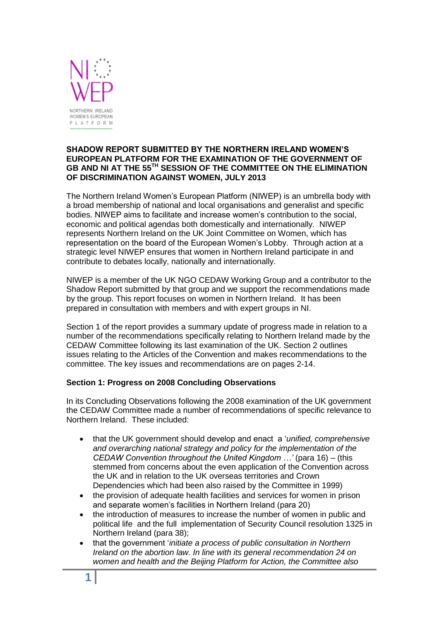

## **SHADOW REPORT SUBMITTED BY THE NORTHERN IRELAND WOMEN'S EUROPEAN PLATFORM FOR THE EXAMINATION OF THE GOVERNMENT OF GB AND NI AT THE 55TH SESSION OF THE COMMITTEE ON THE ELIMINATION OF DISCRIMINATION AGAINST WOMEN, JULY 2013**

The Northern Ireland Women's European Platform (NIWEP) is an umbrella body with a broad membership of national and local organisations and generalist and specific bodies. NIWEP aims to facilitate and increase women's contribution to the social, economic and political agendas both domestically and internationally. NIWEP represents Northern Ireland on the UK Joint Committee on Women, which has representation on the board of the European Women's Lobby. Through action at a strategic level NIWEP ensures that women in Northern Ireland participate in and contribute to debates locally, nationally and internationally.

NIWEP is a member of the UK NGO CEDAW Working Group and a contributor to the Shadow Report submitted by that group and we support the recommendations made by the group. This report focuses on women in Northern Ireland. It has been prepared in consultation with members and with expert groups in NI.

Section 1 of the report provides a summary update of progress made in relation to a number of the recommendations specifically relating to Northern Ireland made by the CEDAW Committee following its last examination of the UK. Section 2 outlines issues relating to the Articles of the Convention and makes recommendations to the committee. The key issues and recommendations are on pages 2-14.

# **Section 1: Progress on 2008 Concluding Observations**

In its Concluding Observations following the 2008 examination of the UK government the CEDAW Committee made a number of recommendations of specific relevance to Northern Ireland. These included:

- that the UK government should develop and enact a '*unified, comprehensive and overarching national strategy and policy for the implementation of the CEDAW Convention throughout the United Kingdom …'* (para 16) – (this stemmed from concerns about the even application of the Convention across the UK and in relation to the UK overseas territories and Crown Dependencies which had been also raised by the Committee in 1999)
- the provision of adequate health facilities and services for women in prison and separate women's facilities in Northern Ireland (para 20)
- the introduction of measures to increase the number of women in public and political life and the full implementation of Security Council resolution 1325 in Northern Ireland (para 38);
- that the government '*initiate a process of public consultation in Northern Ireland on the abortion law. In line with its general recommendation 24 on women and health and the Beijing Platform for Action, the Committee also*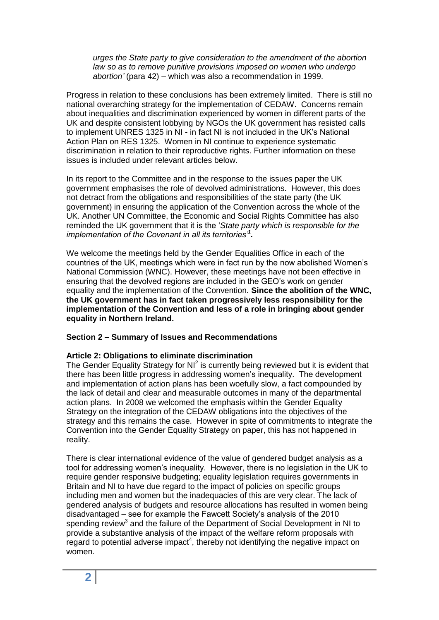*urges the State party to give consideration to the amendment of the abortion law so as to remove punitive provisions imposed on women who undergo abortion'* (para 42) – which was also a recommendation in 1999.

Progress in relation to these conclusions has been extremely limited. There is still no national overarching strategy for the implementation of CEDAW. Concerns remain about inequalities and discrimination experienced by women in different parts of the UK and despite consistent lobbying by NGOs the UK government has resisted calls to implement UNRES 1325 in NI - in fact NI is not included in the UK's National Action Plan on RES 1325. Women in NI continue to experience systematic discrimination in relation to their reproductive rights. Further information on these issues is included under relevant articles below.

In its report to the Committee and in the response to the issues paper the UK government emphasises the role of devolved administrations. However, this does not detract from the obligations and responsibilities of the state party (the UK government) in ensuring the application of the Convention across the whole of the UK. Another UN Committee, the Economic and Social Rights Committee has also reminded the UK government that it is the '*State party which is responsible for the implementation of the Covenant in all its territories'<sup>1</sup> .* 

We welcome the meetings held by the Gender Equalities Office in each of the countries of the UK, meetings which were in fact run by the now abolished Women's National Commission (WNC). However, these meetings have not been effective in ensuring that the devolved regions are included in the GEO's work on gender equality and the implementation of the Convention. **Since the abolition of the WNC, the UK government has in fact taken progressively less responsibility for the implementation of the Convention and less of a role in bringing about gender equality in Northern Ireland.** 

## **Section 2 – Summary of Issues and Recommendations**

## **Article 2: Obligations to eliminate discrimination**

The Gender Equality Strategy for NI $^2$  is currently being reviewed but it is evident that there has been little progress in addressing women's inequality. The development and implementation of action plans has been woefully slow, a fact compounded by the lack of detail and clear and measurable outcomes in many of the departmental action plans. In 2008 we welcomed the emphasis within the Gender Equality Strategy on the integration of the CEDAW obligations into the objectives of the strategy and this remains the case. However in spite of commitments to integrate the Convention into the Gender Equality Strategy on paper, this has not happened in reality.

There is clear international evidence of the value of gendered budget analysis as a tool for addressing women's inequality. However, there is no legislation in the UK to require gender responsive budgeting; equality legislation requires governments in Britain and NI to have due regard to the impact of policies on specific groups including men and women but the inadequacies of this are very clear. The lack of gendered analysis of budgets and resource allocations has resulted in women being disadvantaged – see for example the Fawcett Society's analysis of the 2010 spending review<sup>3</sup> and the failure of the Department of Social Development in NI to provide a substantive analysis of the impact of the welfare reform proposals with  $r$ egard to potential adverse impact<sup>4</sup>, thereby not identifying the negative impact on women.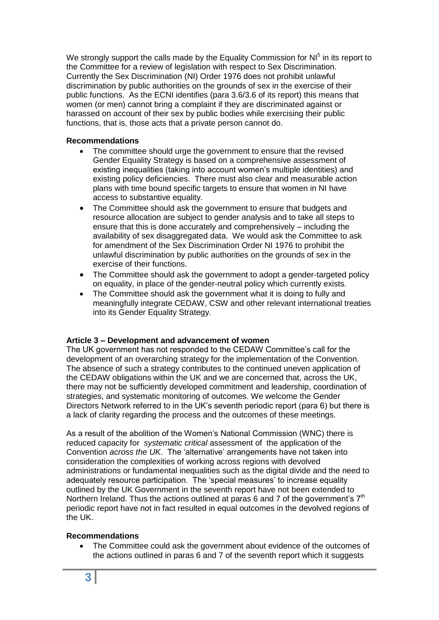We strongly support the calls made by the Equality Commission for  $N<sup>5</sup>$  in its report to the Committee for a review of legislation with respect to Sex Discrimination. Currently the Sex Discrimination (NI) Order 1976 does not prohibit unlawful discrimination by public authorities on the grounds of sex in the exercise of their public functions. As the ECNI identifies (para 3.6/3.6 of its report) this means that women (or men) cannot bring a complaint if they are discriminated against or harassed on account of their sex by public bodies while exercising their public functions, that is, those acts that a private person cannot do.

## **Recommendations**

- The committee should urge the government to ensure that the revised Gender Equality Strategy is based on a comprehensive assessment of existing inequalities (taking into account women's multiple identities) and existing policy deficiencies. There must also clear and measurable action plans with time bound specific targets to ensure that women in NI have access to substantive equality.
- The Committee should ask the government to ensure that budgets and resource allocation are subject to gender analysis and to take all steps to ensure that this is done accurately and comprehensively – including the availability of sex disaggregated data. We would ask the Committee to ask for amendment of the Sex Discrimination Order NI 1976 to prohibit the unlawful discrimination by public authorities on the grounds of sex in the exercise of their functions.
- The Committee should ask the government to adopt a gender-targeted policy on equality, in place of the gender-neutral policy which currently exists.
- The Committee should ask the government what it is doing to fully and meaningfully integrate CEDAW, CSW and other relevant international treaties into its Gender Equality Strategy.

## **Article 3 – Development and advancement of women**

The UK government has not responded to the CEDAW Committee's call for the development of an overarching strategy for the implementation of the Convention. The absence of such a strategy contributes to the continued uneven application of the CEDAW obligations within the UK and we are concerned that, across the UK, there may not be sufficiently developed commitment and leadership, coordination of strategies, and systematic monitoring of outcomes. We welcome the Gender Directors Network referred to in the UK's seventh periodic report (para 6) but there is a lack of clarity regarding the process and the outcomes of these meetings.

As a result of the abolition of the Women's National Commission (WNC) there is reduced capacity for *systematic critical* assessment of the application of the Convention *across the UK*. The 'alternative' arrangements have not taken into consideration the complexities of working across regions with devolved administrations or fundamental inequalities such as the digital divide and the need to adequately resource participation. The 'special measures' to increase equality outlined by the UK Government in the seventh report have not been extended to Northern Ireland. Thus the actions outlined at paras 6 and 7 of the government's 7<sup>th</sup> periodic report have not in fact resulted in equal outcomes in the devolved regions of the UK.

## **Recommendations**

 The Committee could ask the government about evidence of the outcomes of the actions outlined in paras 6 and 7 of the seventh report which it suggests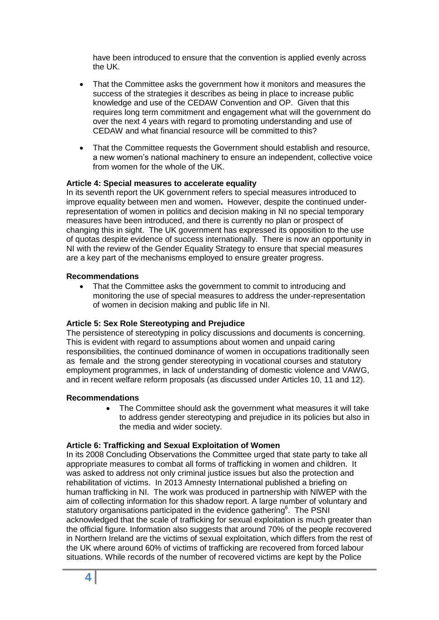have been introduced to ensure that the convention is applied evenly across the UK.

- That the Committee asks the government how it monitors and measures the success of the strategies it describes as being in place to increase public knowledge and use of the CEDAW Convention and OP. Given that this requires long term commitment and engagement what will the government do over the next 4 years with regard to promoting understanding and use of CEDAW and what financial resource will be committed to this?
- That the Committee requests the Government should establish and resource, a new women's national machinery to ensure an independent, collective voice from women for the whole of the UK.

## **Article 4: Special measures to accelerate equality**

In its seventh report the UK government refers to special measures introduced to improve equality between men and women**.** However, despite the continued underrepresentation of women in politics and decision making in NI no special temporary measures have been introduced, and there is currently no plan or prospect of changing this in sight. The UK government has expressed its opposition to the use of quotas despite evidence of success internationally. There is now an opportunity in NI with the review of the Gender Equality Strategy to ensure that special measures are a key part of the mechanisms employed to ensure greater progress.

## **Recommendations**

 That the Committee asks the government to commit to introducing and monitoring the use of special measures to address the under-representation of women in decision making and public life in NI.

## **Article 5: Sex Role Stereotyping and Prejudice**

The persistence of stereotyping in policy discussions and documents is concerning. This is evident with regard to assumptions about women and unpaid caring responsibilities, the continued dominance of women in occupations traditionally seen as female and the strong gender stereotyping in vocational courses and statutory employment programmes, in lack of understanding of domestic violence and VAWG, and in recent welfare reform proposals (as discussed under Articles 10, 11 and 12).

## **Recommendations**

• The Committee should ask the government what measures it will take to address gender stereotyping and prejudice in its policies but also in the media and wider society.

## **Article 6: Trafficking and Sexual Exploitation of Women**

In its 2008 Concluding Observations the Committee urged that state party to take all appropriate measures to combat all forms of trafficking in women and children. It was asked to address not only criminal justice issues but also the protection and rehabilitation of victims. In 2013 Amnesty International published a briefing on human trafficking in NI. The work was produced in partnership with NIWEP with the aim of collecting information for this shadow report. A large number of voluntary and statutory organisations participated in the evidence gathering<sup>6</sup>. The PSNI acknowledged that the scale of trafficking for sexual exploitation is much greater than the official figure. Information also suggests that around 70% of the people recovered in Northern Ireland are the victims of sexual exploitation, which differs from the rest of the UK where around 60% of victims of trafficking are recovered from forced labour situations. While records of the number of recovered victims are kept by the Police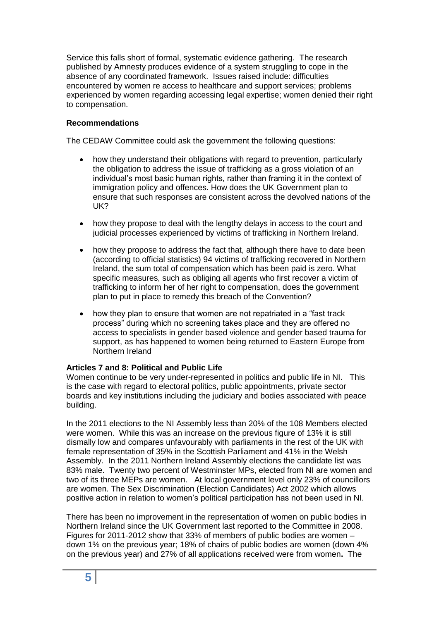Service this falls short of formal, systematic evidence gathering. The research published by Amnesty produces evidence of a system struggling to cope in the absence of any coordinated framework. Issues raised include: difficulties encountered by women re access to healthcare and support services; problems experienced by women regarding accessing legal expertise; women denied their right to compensation.

# **Recommendations**

The CEDAW Committee could ask the government the following questions:

- how they understand their obligations with regard to prevention, particularly the obligation to address the issue of trafficking as a gross violation of an individual's most basic human rights, rather than framing it in the context of immigration policy and offences. How does the UK Government plan to ensure that such responses are consistent across the devolved nations of the UK?
- how they propose to deal with the lengthy delays in access to the court and judicial processes experienced by victims of trafficking in Northern Ireland.
- how they propose to address the fact that, although there have to date been (according to official statistics) 94 victims of trafficking recovered in Northern Ireland, the sum total of compensation which has been paid is zero. What specific measures, such as obliging all agents who first recover a victim of trafficking to inform her of her right to compensation, does the government plan to put in place to remedy this breach of the Convention?
- how they plan to ensure that women are not repatriated in a "fast track process" during which no screening takes place and they are offered no access to specialists in gender based violence and gender based trauma for support, as has happened to women being returned to Eastern Europe from Northern Ireland

# **Articles 7 and 8: Political and Public Life**

Women continue to be very under-represented in politics and public life in NI.This is the case with regard to electoral politics, public appointments, private sector boards and key institutions including the judiciary and bodies associated with peace building.

In the 2011 elections to the NI Assembly less than 20% of the 108 Members elected were women. While this was an increase on the previous figure of 13% it is still dismally low and compares unfavourably with parliaments in the rest of the UK with female representation of 35% in the Scottish Parliament and 41% in the Welsh Assembly. In the 2011 Northern Ireland Assembly elections the candidate list was 83% male. Twenty two percent of Westminster MPs, elected from NI are women and two of its three MEPs are women. At local government level only 23% of councillors are women. The Sex Discrimination (Election Candidates) Act 2002 which allows positive action in relation to women's political participation has not been used in NI.

There has been no improvement in the representation of women on public bodies in Northern Ireland since the UK Government last reported to the Committee in 2008. Figures for 2011-2012 show that 33% of members of public bodies are women – down 1% on the previous year; 18% of chairs of public bodies are women (down 4% on the previous year) and 27% of all applications received were from women**.** The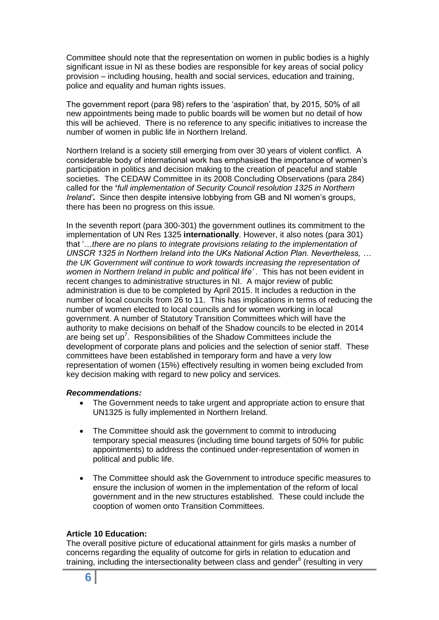Committee should note that the representation on women in public bodies is a highly significant issue in NI as these bodies are responsible for key areas of social policy provision – including housing, health and social services, education and training, police and equality and human rights issues.

The government report (para 98) refers to the 'aspiration' that, by 2015, 50% of all new appointments being made to public boards will be women but no detail of how this will be achieved. There is no reference to any specific initiatives to increase the number of women in public life in Northern Ireland.

Northern Ireland is a society still emerging from over 30 years of violent conflict. A considerable body of international work has emphasised the importance of women's participation in politics and decision making to the creation of peaceful and stable societies. The CEDAW Committee in its 2008 Concluding Observations (para 284) called for the **'***full implementation of Security Council resolution 1325 in Northern Ireland'***.** Since then despite intensive lobbying from GB and NI women's groups, there has been no progress on this issue.

In the seventh report (para 300-301) the government outlines its commitment to the implementation of UN Res 1325 **internationally**. However, it also notes (para 301) that '…*there are no plans to integrate provisions relating to the implementation of UNSCR 1325 in Northern Ireland into the UKs National Action Plan. Nevertheless, … the UK Government will continue to work towards increasing the representation of*  women in Northern Ireland in public and political life'. This has not been evident in recent changes to administrative structures in NI. A major review of public administration is due to be completed by April 2015. It includes a reduction in the number of local councils from 26 to 11. This has implications in terms of reducing the number of women elected to local councils and for women working in local government. A number of Statutory Transition Committees which will have the authority to make decisions on behalf of the Shadow councils to be elected in 2014 are being set up<sup>7</sup>. Responsibilities of the Shadow Committees include the development of corporate plans and policies and the selection of senior staff. These committees have been established in temporary form and have a very low representation of women (15%) effectively resulting in women being excluded from key decision making with regard to new policy and services.

## *Recommendations:*

- The Government needs to take urgent and appropriate action to ensure that UN1325 is fully implemented in Northern Ireland.
- The Committee should ask the government to commit to introducing temporary special measures (including time bound targets of 50% for public appointments) to address the continued under-representation of women in political and public life.
- The Committee should ask the Government to introduce specific measures to ensure the inclusion of women in the implementation of the reform of local government and in the new structures established. These could include the cooption of women onto Transition Committees.

## **Article 10 Education:**

The overall positive picture of educational attainment for girls masks a number of concerns regarding the equality of outcome for girls in relation to education and training, including the intersectionality between class and gender $8$  (resulting in very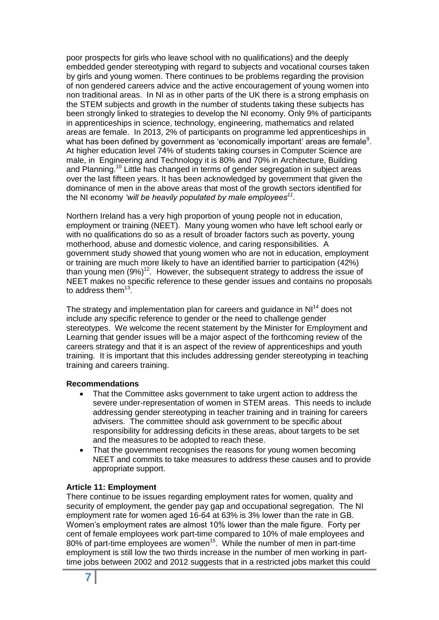poor prospects for girls who leave school with no qualifications) and the deeply embedded gender stereotyping with regard to subjects and vocational courses taken by girls and young women. There continues to be problems regarding the provision of non gendered careers advice and the active encouragement of young women into non traditional areas. In NI as in other parts of the UK there is a strong emphasis on the STEM subjects and growth in the number of students taking these subjects has been strongly linked to strategies to develop the NI economy. Only 9% of participants in apprenticeships in science, technology, engineering, mathematics and related areas are female. In 2013, 2% of participants on programme led apprenticeships in what has been defined by government as 'economically important' areas are female $9$ . At higher education level 74% of students taking courses in Computer Science are male, in Engineering and Technology it is 80% and 70% in Architecture, Building and Planning.<sup>10</sup> Little has changed in terms of gender segregation in subject areas over the last fifteen years. It has been acknowledged by government that given the dominance of men in the above areas that most of the growth sectors identified for the NI economy *'will be heavily populated by male employees<sup>11</sup> .* 

Northern Ireland has a very high proportion of young people not in education, employment or training (NEET). Many young women who have left school early or with no qualifications do so as a result of broader factors such as poverty, young motherhood, abuse and domestic violence, and caring responsibilities. A government study showed that young women who are not in education, employment or training are much more likely to have an identified barrier to participation (42%) than young men  $(9\%)$ <sup>12</sup>. However, the subsequent strategy to address the issue of NEET makes no specific reference to these gender issues and contains no proposals to address them $^{13}$ .

The strategy and implementation plan for careers and quidance in NI<sup>14</sup> does not include any specific reference to gender or the need to challenge gender stereotypes. We welcome the recent statement by the Minister for Employment and Learning that gender issues will be a major aspect of the forthcoming review of the careers strategy and that it is an aspect of the review of apprenticeships and youth training. It is important that this includes addressing gender stereotyping in teaching training and careers training.

## **Recommendations**

- That the Committee asks government to take urgent action to address the severe under-representation of women in STEM areas. This needs to include addressing gender stereotyping in teacher training and in training for careers advisers. The committee should ask government to be specific about responsibility for addressing deficits in these areas, about targets to be set and the measures to be adopted to reach these.
- That the government recognises the reasons for young women becoming NEET and commits to take measures to address these causes and to provide appropriate support.

#### **Article 11: Employment**

There continue to be issues regarding employment rates for women, quality and security of employment, the gender pay gap and occupational segregation. The NI employment rate for women aged 16-64 at 63% is 3% lower than the rate in GB. Women's employment rates are almost 10% lower than the male figure. Forty per cent of female employees work part-time compared to 10% of male employees and 80% of part-time employees are women<sup>15</sup>. While the number of men in part-time employment is still low the two thirds increase in the number of men working in parttime jobs between 2002 and 2012 suggests that in a restricted jobs market this could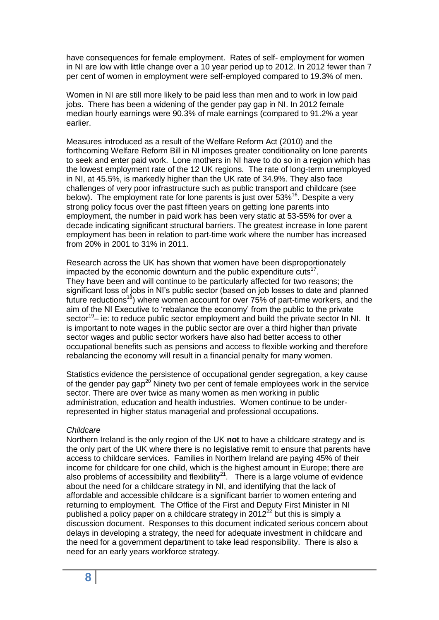have consequences for female employment. Rates of self- employment for women in NI are low with little change over a 10 year period up to 2012. In 2012 fewer than 7 per cent of women in employment were self-employed compared to 19.3% of men.

Women in NI are still more likely to be paid less than men and to work in low paid jobs. There has been a widening of the gender pay gap in NI. In 2012 female median hourly earnings were 90.3% of male earnings (compared to 91.2% a year earlier.

Measures introduced as a result of the Welfare Reform Act (2010) and the forthcoming Welfare Reform Bill in NI imposes greater conditionality on lone parents to seek and enter paid work. Lone mothers in NI have to do so in a region which has the lowest employment rate of the 12 UK regions. The rate of long-term unemployed in NI, at 45.5%, is markedly higher than the UK rate of 34.9%. They also face challenges of very poor infrastructure such as public transport and childcare (see below). The employment rate for lone parents is just over 53%<sup>16</sup>. Despite a very strong policy focus over the past fifteen years on getting lone parents into employment, the number in paid work has been very static at 53-55% for over a decade indicating significant structural barriers. The greatest increase in lone parent employment has been in relation to part-time work where the number has increased from 20% in 2001 to 31% in 2011.

Research across the UK has shown that women have been disproportionately impacted by the economic downturn and the public expenditure cuts $17$ . They have been and will continue to be particularly affected for two reasons; the significant loss of jobs in NI's public sector (based on job losses to date and planned future reductions<sup>18</sup>) where women account for over  $75%$  of part-time workers, and the aim of the NI Executive to 'rebalance the economy' from the public to the private sector<sup>19</sup>- ie: to reduce public sector employment and build the private sector In NI. It is important to note wages in the public sector are over a third higher than private sector wages and public sector workers have also had better access to other occupational benefits such as pensions and access to flexible working and therefore rebalancing the economy will result in a financial penalty for many women.

Statistics evidence the persistence of occupational gender segregation, a key cause of the gender pay gap<sup>20</sup> Ninety two per cent of female employees work in the service sector. There are over twice as many women as men working in public administration, education and health industries. Women continue to be underrepresented in higher status managerial and professional occupations.

#### *Childcare*

Northern Ireland is the only region of the UK **not** to have a childcare strategy and is the only part of the UK where there is no legislative remit to ensure that parents have access to childcare services. Families in Northern Ireland are paying 45% of their income for childcare for one child, which is the highest amount in Europe; there are also problems of accessibility and flexibility<sup>21</sup>. There is a large volume of evidence about the need for a childcare strategy in NI, and identifying that the lack of affordable and accessible childcare is a significant barrier to women entering and returning to employment. The Office of the First and Deputy First Minister in NI published a policy paper on a childcare strategy in 2012 $^{22}$  but this is simply a discussion document. Responses to this document indicated serious concern about delays in developing a strategy, the need for adequate investment in childcare and the need for a government department to take lead responsibility. There is also a need for an early years workforce strategy.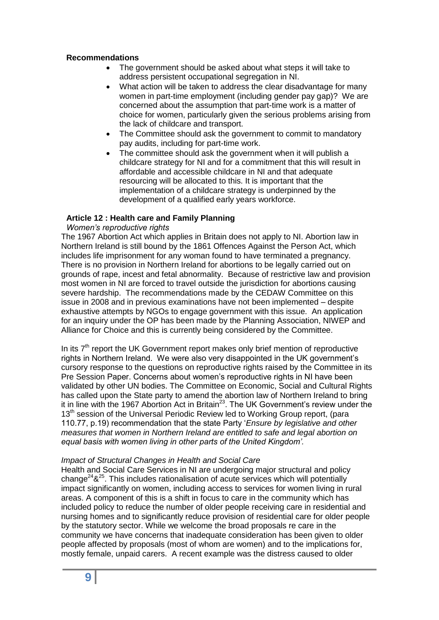## **Recommendations**

- The government should be asked about what steps it will take to address persistent occupational segregation in NI.
- What action will be taken to address the clear disadvantage for many women in part-time employment (including gender pay gap)? We are concerned about the assumption that part-time work is a matter of choice for women, particularly given the serious problems arising from the lack of childcare and transport.
- The Committee should ask the government to commit to mandatory pay audits, including for part-time work.
- The committee should ask the government when it will publish a childcare strategy for NI and for a commitment that this will result in affordable and accessible childcare in NI and that adequate resourcing will be allocated to this. It is important that the implementation of a childcare strategy is underpinned by the development of a qualified early years workforce.

#### **Article 12 : Health care and Family Planning**

#### *Women's reproductive rights*

The 1967 Abortion Act which applies in Britain does not apply to NI. Abortion law in Northern Ireland is still bound by the 1861 Offences Against the Person Act, which includes life imprisonment for any woman found to have terminated a pregnancy. There is no provision in Northern Ireland for abortions to be legally carried out on grounds of rape, incest and fetal abnormality. Because of restrictive law and provision most women in NI are forced to travel outside the jurisdiction for abortions causing severe hardship. The recommendations made by the CEDAW Committee on this issue in 2008 and in previous examinations have not been implemented – despite exhaustive attempts by NGOs to engage government with this issue. An application for an inquiry under the OP has been made by the Planning Association, NIWEP and Alliance for Choice and this is currently being considered by the Committee.

In its  $7<sup>th</sup>$  report the UK Government report makes only brief mention of reproductive rights in Northern Ireland. We were also very disappointed in the UK government's cursory response to the questions on reproductive rights raised by the Committee in its Pre Session Paper. Concerns about women's reproductive rights in NI have been validated by other UN bodies. The Committee on Economic, Social and Cultural Rights has called upon the State party to amend the abortion law of Northern Ireland to bring it in line with the 1967 Abortion Act in Britain<sup>23</sup>. The UK Government's review under the 13<sup>th</sup> session of the Universal Periodic Review led to Working Group report, (para 110.77, p.19) recommendation that the state Party '*Ensure by legislative and other measures that women in Northern Ireland are entitled to safe and legal abortion on equal basis with women living in other parts of the United Kingdom'.* 

#### *Impact of Structural Changes in Health and Social Care*

Health and Social Care Services in NI are undergoing major structural and policy change $248^{25}$ . This includes rationalisation of acute services which will potentially impact significantly on women, including access to services for women living in rural areas. A component of this is a shift in focus to care in the community which has included policy to reduce the number of older people receiving care in residential and nursing homes and to significantly reduce provision of residential care for older people by the statutory sector. While we welcome the broad proposals re care in the community we have concerns that inadequate consideration has been given to older people affected by proposals (most of whom are women) and to the implications for, mostly female, unpaid carers. A recent example was the distress caused to older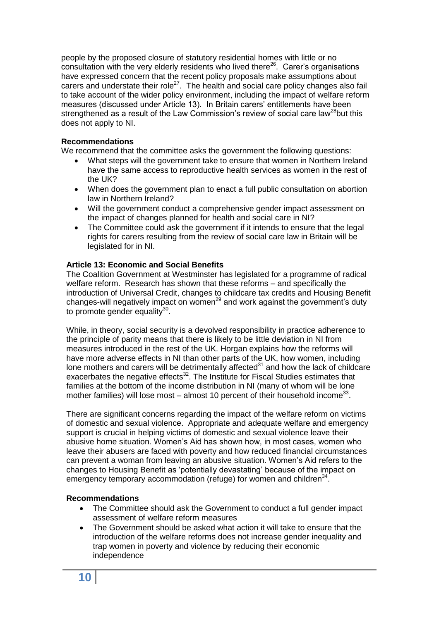people by the proposed closure of statutory residential homes with little or no consultation with the very elderly residents who lived there $^{26}$ . Carer's organisations have expressed concern that the recent policy proposals make assumptions about carers and understate their role<sup>27</sup>. The health and social care policy changes also fail to take account of the wider policy environment, including the impact of welfare reform measures (discussed under Article 13). In Britain carers' entitlements have been strengthened as a result of the Law Commission's review of social care law<sup>28</sup>but this does not apply to NI.

# **Recommendations**

We recommend that the committee asks the government the following questions:

- What steps will the government take to ensure that women in Northern Ireland have the same access to reproductive health services as women in the rest of the UK?
- When does the government plan to enact a full public consultation on abortion law in Northern Ireland?
- Will the government conduct a comprehensive gender impact assessment on the impact of changes planned for health and social care in NI?
- The Committee could ask the government if it intends to ensure that the legal rights for carers resulting from the review of social care law in Britain will be legislated for in NI.

## **Article 13: Economic and Social Benefits**

The Coalition Government at Westminster has legislated for a programme of radical welfare reform. Research has shown that these reforms – and specifically the introduction of Universal Credit, changes to childcare tax credits and Housing Benefit changes-will negatively impact on women<sup>29</sup> and work against the government's duty to promote gender equality<sup>30</sup>.

While, in theory, social security is a devolved responsibility in practice adherence to the principle of parity means that there is likely to be little deviation in NI from measures introduced in the rest of the UK. Horgan explains how the reforms will have more adverse effects in NI than other parts of the UK, how women, including lone mothers and carers will be detrimentally affected $31$  and how the lack of childcare exacerbates the negative effects $32$ . The Institute for Fiscal Studies estimates that families at the bottom of the income distribution in NI (many of whom will be lone mother families) will lose most  $-$  almost 10 percent of their household income<sup>33</sup>.

There are significant concerns regarding the impact of the welfare reform on victims of domestic and sexual violence. Appropriate and adequate welfare and emergency support is crucial in helping victims of domestic and sexual violence leave their abusive home situation. Women's Aid has shown how, in most cases, women who leave their abusers are faced with poverty and how reduced financial circumstances can prevent a woman from leaving an abusive situation. Women's Aid refers to the changes to Housing Benefit as 'potentially devastating' because of the impact on emergency temporary accommodation (refuge) for women and children $34$ .

## **Recommendations**

- The Committee should ask the Government to conduct a full gender impact assessment of welfare reform measures
- The Government should be asked what action it will take to ensure that the introduction of the welfare reforms does not increase gender inequality and trap women in poverty and violence by reducing their economic independence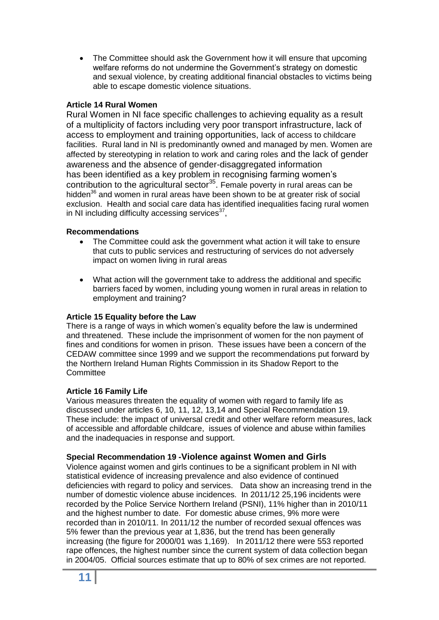The Committee should ask the Government how it will ensure that upcoming welfare reforms do not undermine the Government's strategy on domestic and sexual violence, by creating additional financial obstacles to victims being able to escape domestic violence situations.

# **Article 14 Rural Women**

Rural Women in NI face specific challenges to achieving equality as a result of a multiplicity of factors including very poor transport infrastructure, lack of access to employment and training opportunities, lack of access to childcare facilities. Rural land in NI is predominantly owned and managed by men. Women are affected by stereotyping in relation to work and caring roles and the lack of gender awareness and the absence of gender-disaggregated information has been identified as a key problem in recognising farming women's contribution to the agricultural sector $35$ . Female poverty in rural areas can be hidden $36$  and women in rural areas have been shown to be at greater risk of social exclusion. Health and social care data has identified inequalities facing rural women in NI including difficulty accessing services $37$ ,

# **Recommendations**

- The Committee could ask the government what action it will take to ensure that cuts to public services and restructuring of services do not adversely impact on women living in rural areas
- What action will the government take to address the additional and specific barriers faced by women, including young women in rural areas in relation to employment and training?

# **Article 15 Equality before the Law**

There is a range of ways in which women's equality before the law is undermined and threatened. These include the imprisonment of women for the non payment of fines and conditions for women in prison. These issues have been a concern of the CEDAW committee since 1999 and we support the recommendations put forward by the Northern Ireland Human Rights Commission in its Shadow Report to the **Committee** 

# **Article 16 Family Life**

Various measures threaten the equality of women with regard to family life as discussed under articles 6, 10, 11, 12, 13,14 and Special Recommendation 19. These include: the impact of universal credit and other welfare reform measures, lack of accessible and affordable childcare, issues of violence and abuse within families and the inadequacies in response and support.

# **Special Recommendation 19 -Violence against Women and Girls**

Violence against women and girls continues to be a significant problem in NI with statistical evidence of increasing prevalence and also evidence of continued deficiencies with regard to policy and services. Data show an increasing trend in the number of domestic violence abuse incidences. In 2011/12 25,196 incidents were recorded by the Police Service Northern Ireland (PSNI), 11% higher than in 2010/11 and the highest number to date. For domestic abuse crimes, 9% more were recorded than in 2010/11. In 2011/12 the number of recorded sexual offences was 5% fewer than the previous year at 1,836, but the trend has been generally increasing (the figure for 2000/01 was 1,169). In 2011/12 there were 553 reported rape offences, the highest number since the current system of data collection began in 2004/05. Official sources estimate that up to 80% of sex crimes are not reported.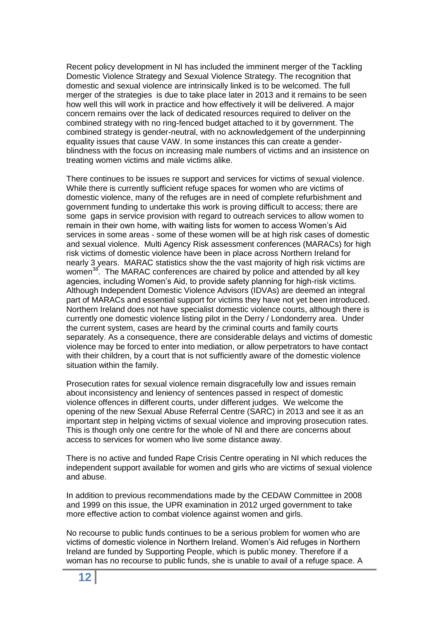Recent policy development in NI has included the imminent merger of the Tackling Domestic Violence Strategy and Sexual Violence Strategy. The recognition that domestic and sexual violence are intrinsically linked is to be welcomed. The full merger of the strategies is due to take place later in 2013 and it remains to be seen how well this will work in practice and how effectively it will be delivered. A major concern remains over the lack of dedicated resources required to deliver on the combined strategy with no ring-fenced budget attached to it by government. The combined strategy is gender-neutral, with no acknowledgement of the underpinning equality issues that cause VAW. In some instances this can create a genderblindness with the focus on increasing male numbers of victims and an insistence on treating women victims and male victims alike.

There continues to be issues re support and services for victims of sexual violence. While there is currently sufficient refuge spaces for women who are victims of domestic violence, many of the refuges are in need of complete refurbishment and government funding to undertake this work is proving difficult to access; there are some gaps in service provision with regard to outreach services to allow women to remain in their own home, with waiting lists for women to access Women's Aid services in some areas - some of these women will be at high risk cases of domestic and sexual violence. Multi Agency Risk assessment conferences (MARACs) for high risk victims of domestic violence have been in place across Northern Ireland for nearly 3 years. MARAC statistics show the the vast majority of high risk victims are women<sup>38</sup>. The MARAC conferences are chaired by police and attended by all key agencies, including Women's Aid, to provide safety planning for high-risk victims. Although Independent Domestic Violence Advisors (IDVAs) are deemed an integral part of MARACs and essential support for victims they have not yet been introduced. Northern Ireland does not have specialist domestic violence courts, although there is currently one domestic violence listing pilot in the Derry / Londonderry area. Under the current system, cases are heard by the criminal courts and family courts separately. As a consequence, there are considerable delays and victims of domestic violence may be forced to enter into mediation, or allow perpetrators to have contact with their children, by a court that is not sufficiently aware of the domestic violence situation within the family.

Prosecution rates for sexual violence remain disgracefully low and issues remain about inconsistency and leniency of sentences passed in respect of domestic violence offences in different courts, under different judges. We welcome the opening of the new Sexual Abuse Referral Centre (SARC) in 2013 and see it as an important step in helping victims of sexual violence and improving prosecution rates. This is though only one centre for the whole of NI and there are concerns about access to services for women who live some distance away.

There is no active and funded Rape Crisis Centre operating in NI which reduces the independent support available for women and girls who are victims of sexual violence and abuse.

In addition to previous recommendations made by the CEDAW Committee in 2008 and 1999 on this issue, the UPR examination in 2012 urged government to take more effective action to combat violence against women and girls.

No recourse to public funds continues to be a serious problem for women who are victims of domestic violence in Northern Ireland. Women's Aid refuges in Northern Ireland are funded by Supporting People, which is public money. Therefore if a woman has no recourse to public funds, she is unable to avail of a refuge space. A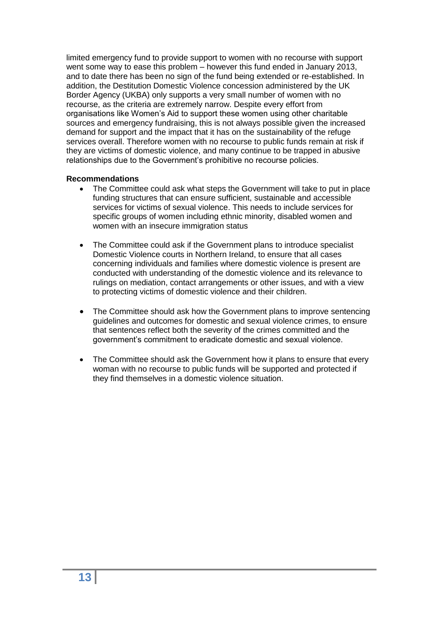limited emergency fund to provide support to women with no recourse with support went some way to ease this problem – however this fund ended in January 2013, and to date there has been no sign of the fund being extended or re-established. In addition, the Destitution Domestic Violence concession administered by the UK Border Agency (UKBA) only supports a very small number of women with no recourse, as the criteria are extremely narrow. Despite every effort from organisations like Women's Aid to support these women using other charitable sources and emergency fundraising, this is not always possible given the increased demand for support and the impact that it has on the sustainability of the refuge services overall. Therefore women with no recourse to public funds remain at risk if they are victims of domestic violence, and many continue to be trapped in abusive relationships due to the Government's prohibitive no recourse policies.

## **Recommendations**

- The Committee could ask what steps the Government will take to put in place funding structures that can ensure sufficient, sustainable and accessible services for victims of sexual violence. This needs to include services for specific groups of women including ethnic minority, disabled women and women with an insecure immigration status
- The Committee could ask if the Government plans to introduce specialist Domestic Violence courts in Northern Ireland, to ensure that all cases concerning individuals and families where domestic violence is present are conducted with understanding of the domestic violence and its relevance to rulings on mediation, contact arrangements or other issues, and with a view to protecting victims of domestic violence and their children.
- The Committee should ask how the Government plans to improve sentencing guidelines and outcomes for domestic and sexual violence crimes, to ensure that sentences reflect both the severity of the crimes committed and the government's commitment to eradicate domestic and sexual violence.
- The Committee should ask the Government how it plans to ensure that every woman with no recourse to public funds will be supported and protected if they find themselves in a domestic violence situation.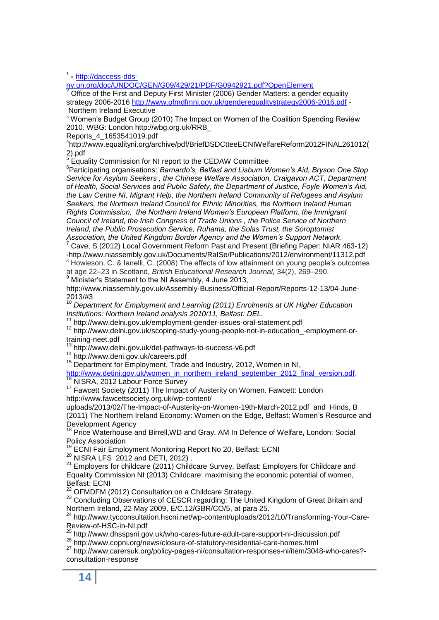1 1 **-** [http://daccess-dds-](http://daccess-dds-ny.un.org/doc/UNDOC/GEN/G09/429/21/PDF/G0942921.pdf?OpenElement)

[ny.un.org/doc/UNDOC/GEN/G09/429/21/PDF/G0942921.pdf?OpenElement](http://daccess-dds-ny.un.org/doc/UNDOC/GEN/G09/429/21/PDF/G0942921.pdf?OpenElement)

 $2\overline{2}$  Office of the First and Deputy First Minister (2006) Gender Matters: a gender equality strategy 2006-2016<http://www.ofmdfmni.gov.uk/genderequalitystrategy2006-2016.pdf> - Northern Ireland Executive

 $3$  Women's Budget Group (2010) The Impact on Women of the Coalition Spending Review 2010. WBG: London http://wbg.org.uk/RRB\_

Reports\_4\_1653541019.pdf

4 http://www.equalityni.org/archive/pdf/BriefDSDCtteeECNIWelfareReform2012FINAL261012( 2).pdf<br><sup>5</sup> ⊑au

Equality Commission for NI report to the CEDAW Committee

6 Participating organisations: *Barnardo's, Belfast and Lisburn Women's Aid, Bryson One Stop Service for Asylum Seekers , the Chinese Welfare Association, Craigavon ACT, Department of Health, Social Services and Public Safety, the Department of Justice, Foyle Women's Aid, the Law Centre NI, Migrant Help, the Northern Ireland Community of Refugees and Asylum Seekers, the Northern Ireland Council for Ethnic Minorities, the Northern Ireland Human Rights Commission, the Northern Ireland Women's European Platform, the Immigrant Council of Ireland, the Irish Congress of Trade Unions , the Police Service of Northern Ireland, the Public Prosecution Service, Ruhama, the Solas Trust, the Soroptomist Association, the United Kingdom Border Agency and the Women's Support Network*.

<sup>7</sup> Cave, S (2012) Local Government Reform Past and Present (Briefing Paper: NIAR 463-12) -http://www.niassembly.gov.uk/Documents/RaISe/Publications/2012/environment/11312.pdf

<sup>8</sup> Howieson, C. & Ianelli, C. (2008) The effects of low attainment on young people's outcomes at age 22–23 in Scotland, *British Educational Research Journal,* 34(2), 269–290.

 $9$  Minister's Statement to the NI Assembly, 4 June 2013,

http://www.niassembly.gov.uk/Assembly-Business/Official-Report/Reports-12-13/04-June- $2013/#3$ 

<sup>10</sup> *Department for Employment and Learning (2011) Enrolments at UK Higher Education Institutions: Northern Ireland analysis 2010/11, Belfast: DEL.*

<sup>11</sup> http://www.delni.gov.uk/employment-gender-issues-oral-statement.pdf

<sup>12</sup> http://www.delni.gov.uk/scoping-study-young-people-not-in-education\_-employment-ortraining-neet.pdf

<sup>13</sup> http://www.delni.gov.uk/del-pathways-to-success-v6.pdf

<sup>14</sup> http://www.deni.gov.uk/careers.pdf

<sup>15</sup> Department for Employment, Trade and Industry, 2012, Women in NI,

[http://www.detini.gov.uk/women\\_in\\_northern\\_ireland\\_september\\_2012\\_final\\_version.pdf.](http://www.detini.gov.uk/women_in_northern_ireland_september_2012_final_version.pdf) NISRA, 2012 Labour Force Survey

<sup>17</sup> Fawcett Society (2011) The Impact of Austerity on Women. Fawcett: London http://www.fawcettsociety.org.uk/wp-content/

uploads/2013/02/The-Impact-of-Austerity-on-Women-19th-March-2012.pdf and Hinds, B (2011) The Northern Ireland Economy: Women on the Edge, Belfast: Women's Resource and Development Agency

<sup>18</sup> Price Waterhouse and Birrell, WD and Gray, AM In Defence of Welfare, London: Social Policy Association

<sup>19</sup> ECNI Fair Employment Monitoring Report No 20, Belfast: ECNI

<sup>20</sup> NISRA LFS 2012 and DETI, 2012).

 $21$  Employers for childcare (2011) Childcare Survey, Belfast: Employers for Childcare and Equality Commission NI (2013) Childcare: maximising the economic potential of women, Belfast: ECNI

<sup>22</sup> OFMDFM (2012) Consultation on a Childcare Strategy.

<sup>23</sup> Concluding Observations of CESCR regarding: The United Kingdom of Great Britain and Northern Ireland, 22 May 2009, E/C.12/GBR/CO/5, at para 25.

<sup>24</sup> http://www.tycconsultation.hscni.net/wp-content/uploads/2012/10/Transforming-Your-Care-Review-of-HSC-in-NI.pdf

<sup>25</sup> http://www.dhsspsni.gov.uk/who-cares-future-adult-care-support-ni-discussion.pdf

<sup>26</sup> http://www.copni.org/news/closure-of-statutory-residential-care-homes.html

<sup>27</sup> http://www.carersuk.org/policy-pages-ni/consultation-responses-ni/item/3048-who-cares? consultation-response